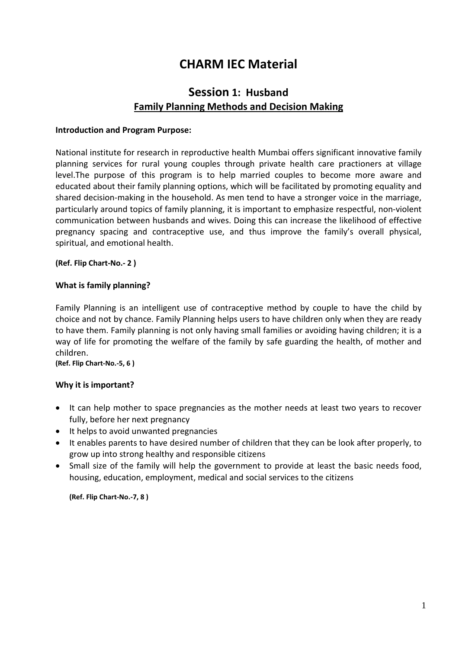# **CHARM IEC Material**

## **Session 1: Husband Family Planning Methods and Decision Making**

#### **Introduction and Program Purpose:**

National institute for research in reproductive health Mumbai offers significant innovative family planning services for rural young couples through private health care practioners at village level.The purpose of this program is to help married couples to become more aware and educated about their family planning options, which will be facilitated by promoting equality and shared decision-making in the household. As men tend to have a stronger voice in the marriage, particularly around topics of family planning, it is important to emphasize respectful, non-violent communication between husbands and wives. Doing this can increase the likelihood of effective pregnancy spacing and contraceptive use, and thus improve the family's overall physical, spiritual, and emotional health.

#### **(Ref. Flip Chart-No.- 2 )**

#### **What is family planning?**

Family Planning is an intelligent use of contraceptive method by couple to have the child by choice and not by chance. Family Planning helps users to have children only when they are ready to have them. Family planning is not only having small families or avoiding having children; it is a way of life for promoting the welfare of the family by safe guarding the health, of mother and children.

#### **(Ref. Flip Chart-No.-5, 6 )**

#### **Why it is important?**

- It can help mother to space pregnancies as the mother needs at least two years to recover fully, before her next pregnancy
- It helps to avoid unwanted pregnancies
- It enables parents to have desired number of children that they can be look after properly, to grow up into strong healthy and responsible citizens
- Small size of the family will help the government to provide at least the basic needs food, housing, education, employment, medical and social services to the citizens

**(Ref. Flip Chart-No.-7, 8 )**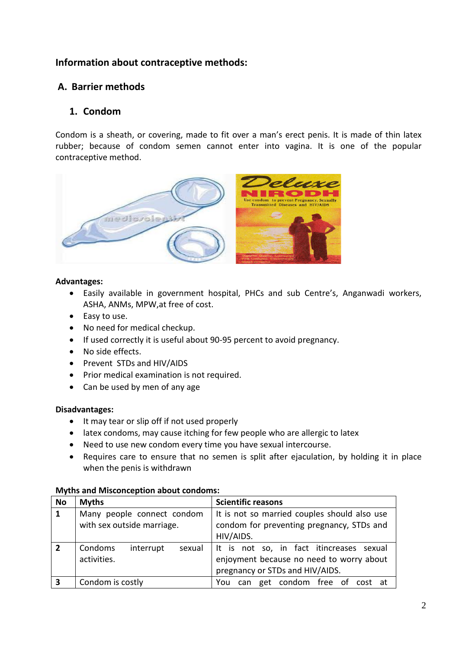## **Information about contraceptive methods:**

## **A. Barrier methods**

## **1. Condom**

Condom is a sheath, or covering, made to fit over a man's erect penis. It is made of thin latex rubber; because of condom semen cannot enter into vagina. It is one of the popular contraceptive method.



#### **Advantages:**

- Easily available in government hospital, PHCs and sub Centre's, Anganwadi workers, ASHA, ANMs, MPW,at free of cost.
- Easy to use.
- No need for medical checkup.
- If used correctly it is useful about 90-95 percent to avoid pregnancy.
- No side effects.
- Prevent STDs and HIV/AIDS
- Prior medical examination is not required.
- Can be used by men of any age

#### **Disadvantages:**

- It may tear or slip off if not used properly
- latex condoms, may cause itching for few people who are allergic to latex
- Need to use new condom every time you have sexual intercourse.
- Requires care to ensure that no semen is split after ejaculation, by holding it in place when the penis is withdrawn

#### **Myths and Misconception about condoms:**

| <b>No</b>      | <b>Myths</b>                                             | <b>Scientific reasons</b>                                                                                               |
|----------------|----------------------------------------------------------|-------------------------------------------------------------------------------------------------------------------------|
| $\mathbf{1}$   | Many people connect condom<br>with sex outside marriage. | It is not so married couples should also use<br>condom for preventing pregnancy, STDs and<br>HIV/AIDS.                  |
| $\overline{2}$ | Condoms<br>interrupt<br>sexual<br>activities.            | It is not so, in fact itincreases sexual<br>enjoyment because no need to worry about<br>pregnancy or STDs and HIV/AIDS. |
| 3              | Condom is costly                                         | can get condom free of cost at<br>You                                                                                   |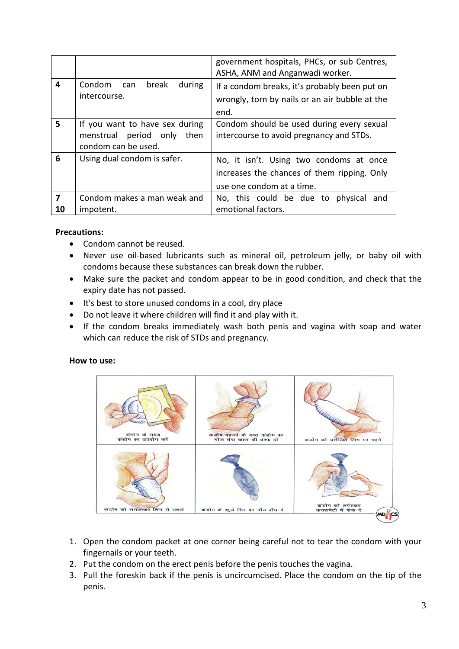|         |                                                                                        | government hospitals, PHCs, or sub Centres,<br>ASHA, ANM and Anganwadi worker.                                      |
|---------|----------------------------------------------------------------------------------------|---------------------------------------------------------------------------------------------------------------------|
| 4       | Condom can<br>break<br>during<br>intercourse.                                          | If a condom breaks, it's probably been put on<br>wrongly, torn by nails or an air bubble at the<br>end.             |
| 5       | If you want to have sex during<br>menstrual period only<br>then<br>condom can be used. | Condom should be used during every sexual<br>intercourse to avoid pregnancy and STDs.                               |
| 6       | Using dual condom is safer.                                                            | No, it isn't. Using two condoms at once<br>increases the chances of them ripping. Only<br>use one condom at a time. |
| 7<br>10 | Condom makes a man weak and<br>impotent.                                               | No, this could be due to physical<br>and<br>emotional factors.                                                      |

### **Precautions:**

- Condom cannot be reused.
- Never use oil-based lubricants such as mineral oil, petroleum jelly, or baby oil with condoms because these substances can break down the rubber.
- Make sure the packet and condom appear to be in good condition, and check that the expiry date has not passed.
- It's best to store unused condoms in a cool, dry place
- Do not leave it where children will find it and play with it.
- If the condom breaks immediately wash both penis and vagina with soap and water which can reduce the risk of STDs and pregnancy.

#### **How to use:**



- 1. Open the condom packet at one corner being careful not to tear the condom with your fingernails or your teeth.
- 2. Put the condom on the erect penis before the penis touches the vagina.
- 3. Pull the foreskin back if the penis is uncircumcised. Place the condom on the tip of the penis.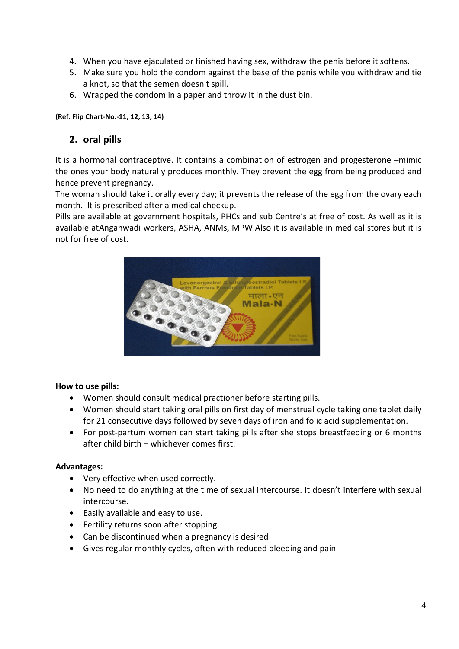- 4. When you have ejaculated or finished having sex, withdraw the penis before it softens.
- 5. Make sure you hold the condom against the base of the penis while you withdraw and tie a knot, so that the semen doesn't spill.
- 6. Wrapped the condom in a paper and throw it in the dust bin.

#### **(Ref. Flip Chart-No.-11, 12, 13, 14)**

## **2. oral pills**

It is a hormonal contraceptive. It contains a combination of estrogen and progesterone –mimic the ones your body naturally produces monthly. They prevent the egg from being produced and hence prevent pregnancy.

The woman should take it orally every day; it prevents the release of the egg from the ovary each month. It is prescribed after a medical checkup.

Pills are available at government hospitals, PHCs and sub Centre's at free of cost. As well as it is available atAnganwadi workers, ASHA, ANMs, MPW.Also it is available in medical stores but it is not for free of cost.



#### **How to use pills:**

- Women should consult medical practioner before starting pills.
- Women should start taking oral pills on first day of menstrual cycle taking one tablet daily for 21 consecutive days followed by seven days of iron and folic acid supplementation.
- For post-partum women can start taking pills after she stops breastfeeding or 6 months after child birth – whichever comes first.

## **Advantages:**

- Very effective when used correctly.
- No need to do anything at the time of sexual intercourse. It doesn't interfere with sexual intercourse.
- Easily available and easy to use.
- Fertility returns soon after stopping.
- Can be discontinued when a pregnancy is desired
- Gives regular monthly cycles, often with reduced bleeding and pain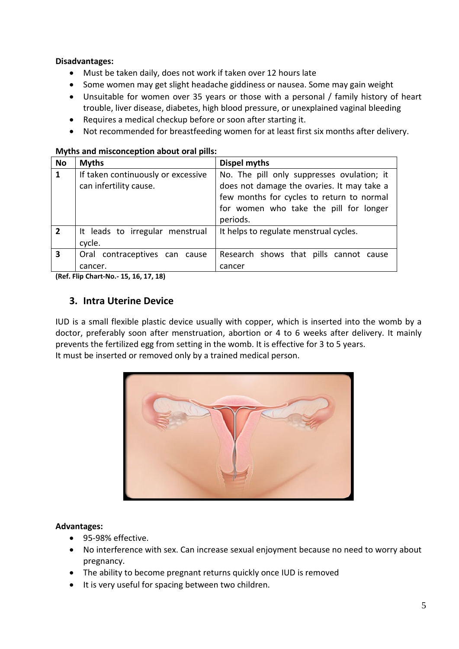### **Disadvantages:**

- Must be taken daily, does not work if taken over 12 hours late
- Some women may get slight headache giddiness or nausea. Some may gain weight
- Unsuitable for women over 35 years or those with a personal / family history of heart trouble, liver disease, diabetes, high blood pressure, or unexplained vaginal bleeding
- Requires a medical checkup before or soon after starting it.
- Not recommended for breastfeeding women for at least first six months after delivery.

| <b>No</b>      | <b>Myths</b>                                                 | Dispel myths                                                                                                                                                                                |
|----------------|--------------------------------------------------------------|---------------------------------------------------------------------------------------------------------------------------------------------------------------------------------------------|
| 1              | If taken continuously or excessive<br>can infertility cause. | No. The pill only suppresses ovulation; it<br>does not damage the ovaries. It may take a<br>few months for cycles to return to normal<br>for women who take the pill for longer<br>periods. |
| $\overline{2}$ | It leads to irregular menstrual<br>cycle.                    | It helps to regulate menstrual cycles.                                                                                                                                                      |
| 3              | Oral contraceptives can cause<br>cancer.                     | Research shows that pills cannot cause<br>cancer                                                                                                                                            |

#### **Myths and misconception about oral pills:**

**(Ref. Flip Chart-No.- 15, 16, 17, 18)**

## **3. Intra Uterine Device**

IUD is a small flexible plastic device usually with copper, which is inserted into the womb by a doctor, preferably soon after menstruation, abortion or 4 to 6 weeks after delivery. It mainly prevents the fertilized egg from setting in the womb. It is effective for 3 to 5 years. It must be inserted or removed only by a trained medical person.



#### **Advantages:**

- 95-98% effective.
- No interference with sex. Can increase sexual enjoyment because no need to worry about pregnancy.
- The ability to become pregnant returns quickly once IUD is removed
- It is very useful for spacing between two children.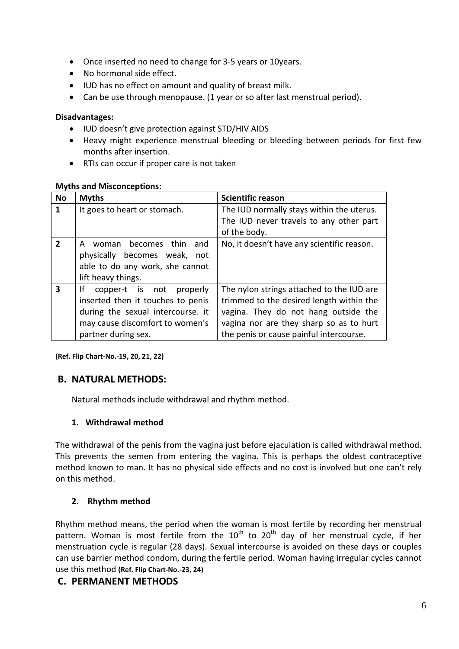- Once inserted no need to change for 3-5 years or 10years.
- No hormonal side effect.
- IUD has no effect on amount and quality of breast milk.
- Can be use through menopause. (1 year or so after last menstrual period).

#### **Disadvantages:**

- IUD doesn't give protection against STD/HIV AIDS
- Heavy might experience menstrual bleeding or bleeding between periods for first few months after insertion.
- RTIs can occur if proper care is not taken

#### **Myths and Misconceptions:**

| <b>No</b>      | <b>Myths</b>                      | <b>Scientific reason</b>                   |
|----------------|-----------------------------------|--------------------------------------------|
| $\mathbf 1$    | It goes to heart or stomach.      | The IUD normally stays within the uterus.  |
|                |                                   | The IUD never travels to any other part    |
|                |                                   | of the body.                               |
| $\overline{2}$ | woman becomes thin<br>and<br>A    | No, it doesn't have any scientific reason. |
|                | physically becomes weak, not      |                                            |
|                | able to do any work, she cannot   |                                            |
|                | lift heavy things.                |                                            |
| 3              | Ιf<br>copper-t is not properly    | The nylon strings attached to the IUD are  |
|                | inserted then it touches to penis | trimmed to the desired length within the   |
|                | during the sexual intercourse. it | vagina. They do not hang outside the       |
|                | may cause discomfort to women's   | vagina nor are they sharp so as to hurt    |
|                | partner during sex.               | the penis or cause painful intercourse.    |

**(Ref. Flip Chart-No.-19, 20, 21, 22)**

## **B. NATURAL METHODS:**

Natural methods include withdrawal and rhythm method.

## **1. Withdrawal method**

The withdrawal of the penis from the vagina just before ejaculation is called withdrawal method. This prevents the semen from entering the vagina. This is perhaps the oldest contraceptive method known to man. It has no physical side effects and no cost is involved but one can't rely on this method.

## **2. Rhythm method**

Rhythm method means, the period when the woman is most fertile by recording her menstrual pattern. Woman is most fertile from the  $10<sup>th</sup>$  to  $20<sup>th</sup>$  day of her menstrual cycle, if her menstruation cycle is regular (28 days). Sexual intercourse is avoided on these days or couples can use barrier method condom, during the fertile period. Woman having irregular cycles cannot use this method **(Ref. Flip Chart-No.-23, 24)**

## **C. PERMANENT METHODS**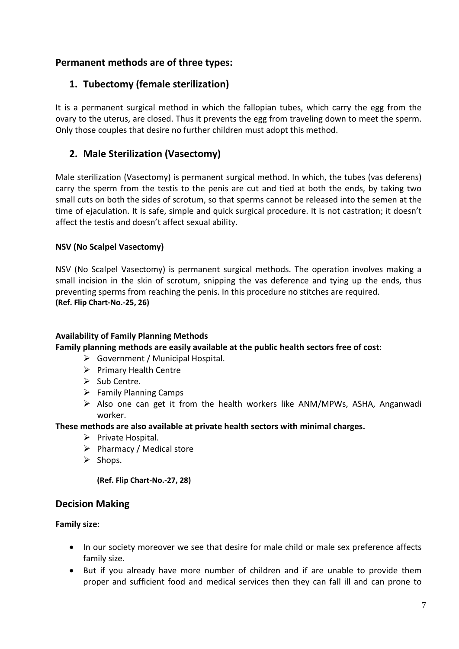## **Permanent methods are of three types:**

## **1. Tubectomy (female sterilization)**

It is a permanent surgical method in which the fallopian tubes, which carry the egg from the ovary to the uterus, are closed. Thus it prevents the egg from traveling down to meet the sperm. Only those couples that desire no further children must adopt this method.

## **2. Male Sterilization (Vasectomy)**

Male sterilization (Vasectomy) is permanent surgical method. In which, the tubes (vas deferens) carry the sperm from the testis to the penis are cut and tied at both the ends, by taking two small cuts on both the sides of scrotum, so that sperms cannot be released into the semen at the time of ejaculation. It is safe, simple and quick surgical procedure. It is not castration; it doesn't affect the testis and doesn't affect sexual ability.

### **NSV (No Scalpel Vasectomy)**

NSV (No Scalpel Vasectomy) is permanent surgical methods. The operation involves making a small incision in the skin of scrotum, snipping the vas deference and tying up the ends, thus preventing sperms from reaching the penis. In this procedure no stitches are required. **(Ref. Flip Chart-No.-25, 26)**

#### **Availability of Family Planning Methods**

#### **Family planning methods are easily available at the public health sectors free of cost:**

- Government / Municipal Hospital.
- $\triangleright$  Primary Health Centre
- $\triangleright$  Sub Centre.
- $\triangleright$  Family Planning Camps
- $\triangleright$  Also one can get it from the health workers like ANM/MPWs, ASHA, Anganwadi worker.

#### **These methods are also available at private health sectors with minimal charges.**

- $\triangleright$  Private Hospital.
- $\triangleright$  Pharmacy / Medical store
- $\triangleright$  Shops.

**(Ref. Flip Chart-No.-27, 28)**

## **Decision Making**

#### **Family size:**

- In our society moreover we see that desire for male child or male sex preference affects family size.
- But if you already have more number of children and if are unable to provide them proper and sufficient food and medical services then they can fall ill and can prone to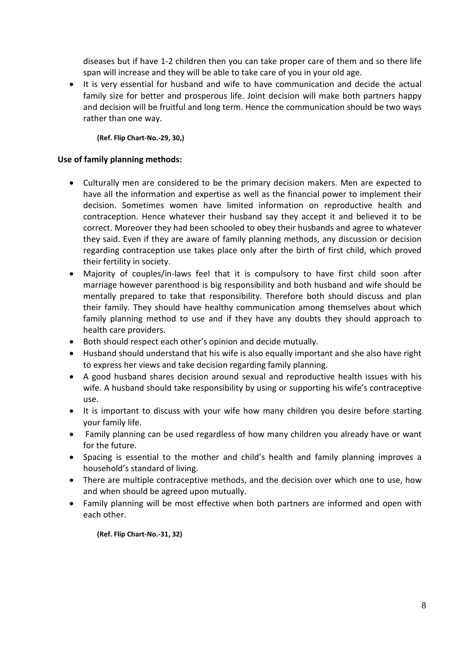diseases but if have 1-2 children then you can take proper care of them and so there life span will increase and they will be able to take care of you in your old age.

• It is very essential for husband and wife to have communication and decide the actual family size for better and prosperous life. Joint decision will make both partners happy and decision will be fruitful and long term. Hence the communication should be two ways rather than one way.

**(Ref. Flip Chart-No.-29, 30,)**

#### **Use of family planning methods:**

- Culturally men are considered to be the primary decision makers. Men are expected to have all the information and expertise as well as the financial power to implement their decision. Sometimes women have limited information on reproductive health and contraception. Hence whatever their husband say they accept it and believed it to be correct. Moreover they had been schooled to obey their husbands and agree to whatever they said. Even if they are aware of family planning methods, any discussion or decision regarding contraception use takes place only after the birth of first child, which proved their fertility in society.
- Majority of couples/in-laws feel that it is compulsory to have first child soon after marriage however parenthood is big responsibility and both husband and wife should be mentally prepared to take that responsibility. Therefore both should discuss and plan their family. They should have healthy communication among themselves about which family planning method to use and if they have any doubts they should approach to health care providers.
- Both should respect each other's opinion and decide mutually.
- Husband should understand that his wife is also equally important and she also have right to express her views and take decision regarding family planning.
- A good husband shares decision around sexual and reproductive health issues with his wife. A husband should take responsibility by using or supporting his wife's contraceptive use.
- It is important to discuss with your wife how many children you desire before starting your family life.
- Family planning can be used regardless of how many children you already have or want for the future.
- Spacing is essential to the mother and child's health and family planning improves a household's standard of living.
- There are multiple contraceptive methods, and the decision over which one to use, how and when should be agreed upon mutually.
- Family planning will be most effective when both partners are informed and open with each other.

**(Ref. Flip Chart-No.-31, 32)**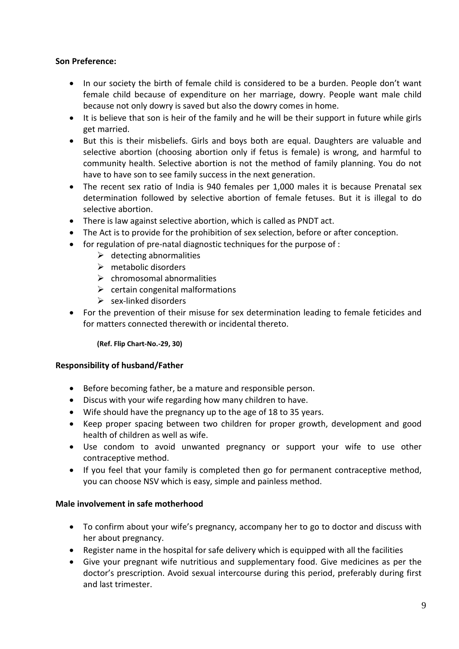### **Son Preference:**

- In our society the birth of female child is considered to be a burden. People don't want female child because of expenditure on her marriage, dowry. People want male child because not only dowry is saved but also the dowry comes in home.
- It is believe that son is heir of the family and he will be their support in future while girls get married.
- But this is their misbeliefs. Girls and boys both are equal. Daughters are valuable and selective abortion (choosing abortion only if fetus is female) is wrong, and harmful to community health. Selective abortion is not the method of family planning. You do not have to have son to see family success in the next generation.
- The recent sex ratio of India is 940 females per 1,000 males it is because Prenatal sex determination followed by selective abortion of female fetuses. But it is illegal to do selective abortion.
- There is law against selective abortion, which is called as PNDT act.
- The Act is to provide for the prohibition of sex selection, before or after conception.
- for regulation of pre-natal diagnostic techniques for the purpose of :
	- $\triangleright$  detecting abnormalities
	- $\triangleright$  metabolic disorders
	- $\triangleright$  chromosomal abnormalities
	- $\triangleright$  certain congenital malformations
	- $\triangleright$  sex-linked disorders
- For the prevention of their misuse for sex determination leading to female feticides and for matters connected therewith or incidental thereto.

**(Ref. Flip Chart-No.-29, 30)**

#### **Responsibility of husband/Father**

- Before becoming father, be a mature and responsible person.
- Discus with your wife regarding how many children to have.
- Wife should have the pregnancy up to the age of 18 to 35 years.
- Keep proper spacing between two children for proper growth, development and good health of children as well as wife.
- Use condom to avoid unwanted pregnancy or support your wife to use other contraceptive method.
- If you feel that your family is completed then go for permanent contraceptive method, you can choose NSV which is easy, simple and painless method.

#### **Male involvement in safe motherhood**

- To confirm about your wife's pregnancy, accompany her to go to doctor and discuss with her about pregnancy.
- Register name in the hospital for safe delivery which is equipped with all the facilities
- Give your pregnant wife nutritious and supplementary food. Give medicines as per the doctor's prescription. Avoid sexual intercourse during this period, preferably during first and last trimester.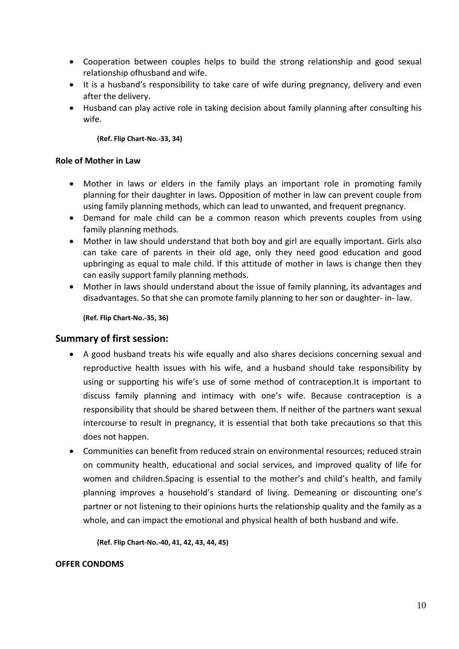- Cooperation between couples helps to build the strong relationship and good sexual relationship ofhusband and wife.
- It is a husband's responsibility to take care of wife during pregnancy, delivery and even after the delivery.
- Husband can play active role in taking decision about family planning after consulting his wife.

#### **(Ref. Flip Chart-No.-33, 34)**

#### **Role of Mother in Law**

- Mother in laws or elders in the family plays an important role in promoting family planning for their daughter in laws. Opposition of mother in law can prevent couple from using family planning methods, which can lead to unwanted, and frequent pregnancy.
- Demand for male child can be a common reason which prevents couples from using family planning methods.
- Mother in law should understand that both boy and girl are equally important. Girls also can take care of parents in their old age, only they need good education and good upbringing as equal to male child. If this attitude of mother in laws is change then they can easily support family planning methods.
- Mother in laws should understand about the issue of family planning, its advantages and disadvantages. So that she can promote family planning to her son or daughter- in- law.

**(Ref. Flip Chart-No.-35, 36)**

#### **Summary of first session:**

- A good husband treats his wife equally and also shares decisions concerning sexual and reproductive health issues with his wife, and a husband should take responsibility by using or supporting his wife's use of some method of contraception.It is important to discuss family planning and intimacy with one's wife. Because contraception is a responsibility that should be shared between them. If neither of the partners want sexual intercourse to result in pregnancy, it is essential that both take precautions so that this does not happen.
- Communities can benefit from reduced strain on environmental resources; reduced strain on community health, educational and social services, and improved quality of life for women and children.Spacing is essential to the mother's and child's health, and family planning improves a household's standard of living. Demeaning or discounting one's partner or not listening to their opinions hurts the relationship quality and the family as a whole, and can impact the emotional and physical health of both husband and wife.

**(Ref. Flip Chart-No.-40, 41, 42, 43, 44, 45)**

#### **OFFER CONDOMS**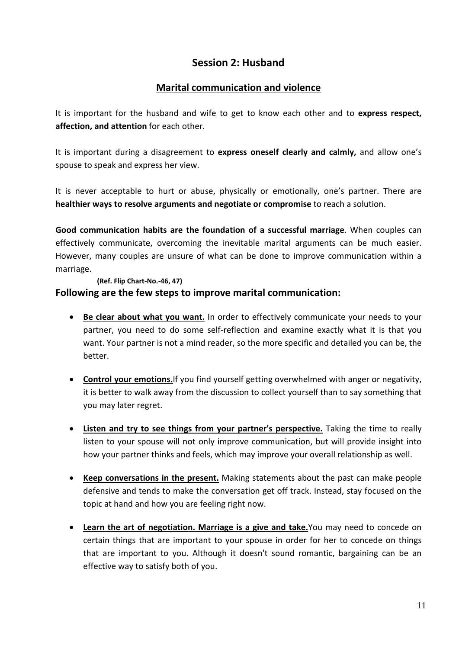## **Session 2: Husband**

## **Marital communication and violence**

It is important for the husband and wife to get to know each other and to **express respect, affection, and attention** for each other.

It is important during a disagreement to **express oneself clearly and calmly,** and allow one's spouse to speak and express her view.

It is never acceptable to hurt or abuse, physically or emotionally, one's partner. There are **healthier ways to resolve arguments and negotiate or compromise** to reach a solution.

**Good communication habits are the foundation of a successful marriage**. When couples can effectively communicate, overcoming the inevitable marital arguments can be much easier. However, many couples are unsure of what can be done to improve communication within a marriage.

#### **(Ref. Flip Chart-No.-46, 47)**

### **Following are the few steps to improve marital communication:**

- **Be clear about what you want.** In order to effectively communicate your needs to your partner, you need to do some self-reflection and examine exactly what it is that you want. Your partner is not a mind reader, so the more specific and detailed you can be, the better.
- **Control your emotions.**If you find yourself getting overwhelmed with anger or negativity, it is better to walk away from the discussion to collect yourself than to say something that you may later regret.
- **Listen and try to see things from your partner's perspective.** Taking the time to really listen to your spouse will not only improve communication, but will provide insight into how your partner thinks and feels, which may improve your overall relationship as well.
- **Keep conversations in the present.** Making statements about the past can make people defensive and tends to make the conversation get off track. Instead, stay focused on the topic at hand and how you are feeling right now.
- **Learn the art of negotiation. Marriage is a give and take.**You may need to concede on certain things that are important to your spouse in order for her to concede on things that are important to you. Although it doesn't sound romantic, bargaining can be an effective way to satisfy both of you.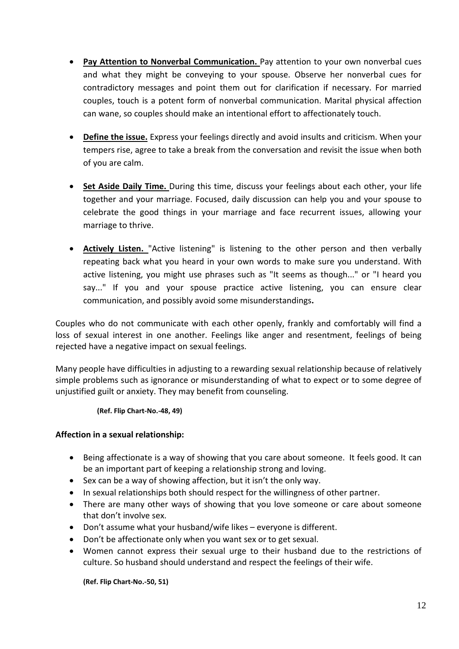- **Pay Attention to Nonverbal Communication.** Pay attention to your own nonverbal cues and what they might be conveying to your spouse. Observe her nonverbal cues for contradictory messages and point them out for clarification if necessary. For married couples, touch is a potent form of nonverbal communication. Marital physical affection can wane, so couples should make an intentional effort to affectionately touch.
- **Define the issue.** Express your feelings directly and avoid insults and criticism. When your tempers rise, agree to take a break from the conversation and revisit the issue when both of you are calm.
- **Set Aside Daily Time.** During this time, discuss your feelings about each other, your life together and your marriage. Focused, daily discussion can help you and your spouse to celebrate the good things in your marriage and face recurrent issues, allowing your marriage to thrive.
- **Actively Listen.** "Active listening" is listening to the other person and then verbally repeating back what you heard in your own words to make sure you understand. With active listening, you might use phrases such as "It seems as though..." or "I heard you say..." If you and your spouse practice active listening, you can ensure clear communication, and possibly avoid some misunderstandings**.**

Couples who do not communicate with each other openly, frankly and comfortably will find a loss of sexual interest in one another. Feelings like anger and resentment, feelings of being rejected have a negative impact on sexual feelings.

Many people have difficulties in adjusting to a rewarding sexual relationship because of relatively simple problems such as ignorance or misunderstanding of what to expect or to some degree of unjustified guilt or anxiety. They may benefit from counseling.

**(Ref. Flip Chart-No.-48, 49)**

#### **Affection in a sexual relationship:**

- Being affectionate is a way of showing that you care about someone. It feels good. It can be an important part of keeping a relationship strong and loving.
- Sex can be a way of showing affection, but it isn't the only way.
- In sexual relationships both should respect for the willingness of other partner.
- There are many other ways of showing that you love someone or care about someone that don't involve sex.
- Don't assume what your husband/wife likes everyone is different.
- Don't be affectionate only when you want sex or to get sexual.
- Women cannot express their sexual urge to their husband due to the restrictions of culture. So husband should understand and respect the feelings of their wife.

**(Ref. Flip Chart-No.-50, 51)**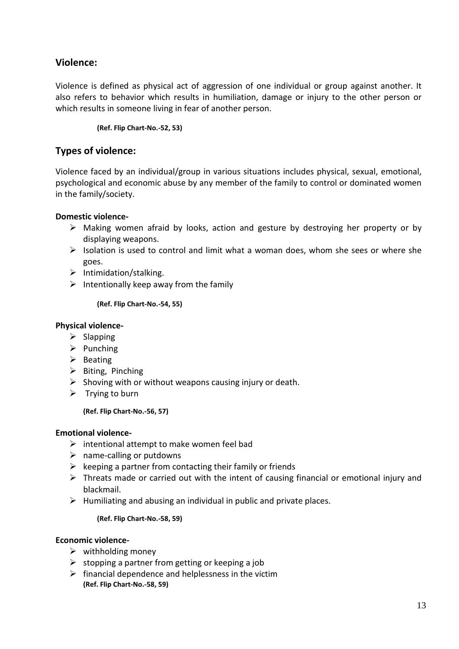## **Violence:**

Violence is defined as physical act of aggression of one individual or group against another. It also refers to behavior which results in humiliation, damage or injury to the other person or which results in someone living in fear of another person.

**(Ref. Flip Chart-No.-52, 53)**

## **Types of violence:**

Violence faced by an individual/group in various situations includes physical, sexual, emotional, psychological and economic abuse by any member of the family to control or dominated women in the family/society.

#### **Domestic violence-**

- Making women afraid by looks, action and gesture by destroying her property or by displaying weapons.
- $\triangleright$  Isolation is used to control and limit what a woman does, whom she sees or where she goes.
- $\triangleright$  Intimidation/stalking.
- $\triangleright$  Intentionally keep away from the family

**(Ref. Flip Chart-No.-54, 55)**

#### **Physical violence-**

- $\triangleright$  Slapping
- $\triangleright$  Punching
- $\triangleright$  Beating
- $\triangleright$  Biting, Pinching
- $\triangleright$  Shoving with or without weapons causing injury or death.
- $\triangleright$  Trying to burn

#### **(Ref. Flip Chart-No.-56, 57)**

#### **Emotional violence-**

- $\triangleright$  intentional attempt to make women feel bad
- $\triangleright$  name-calling or putdowns
- $\triangleright$  keeping a partner from contacting their family or friends
- $\triangleright$  Threats made or carried out with the intent of causing financial or emotional injury and blackmail.
- $\triangleright$  Humiliating and abusing an individual in public and private places.

#### **(Ref. Flip Chart-No.-58, 59)**

#### **Economic violence-**

- $\triangleright$  withholding money
- $\triangleright$  stopping a partner from getting or keeping a job
- $\triangleright$  financial dependence and helplessness in the victim **(Ref. Flip Chart-No.-58, 59)**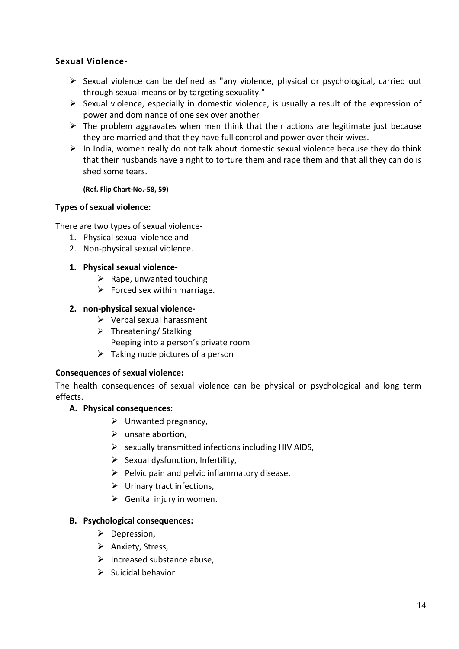### **Sexual Violence-**

- $\triangleright$  Sexual violence can be defined as "any violence, physical or psychological, carried out through sexual means or by targeting sexuality."
- $\triangleright$  Sexual violence, especially in domestic violence, is usually a result of the expression of power and dominance of one sex over another
- $\triangleright$  The problem aggravates when men think that their actions are legitimate just because they are married and that they have full control and power over their wives.
- $\triangleright$  In India, women really do not talk about domestic sexual violence because they do think that their husbands have a right to torture them and rape them and that all they can do is shed some tears.

#### **(Ref. Flip Chart-No.-58, 59)**

#### **Types of sexual violence:**

There are two types of sexual violence-

- 1. Physical sexual violence and
- 2. Non-physical sexual violence.
- **1. Physical sexual violence-**
	- $\triangleright$  Rape, unwanted touching
	- $\triangleright$  Forced sex within marriage.

#### **2. non-physical sexual violence-**

- $\triangleright$  Verbal sexual harassment
- $\triangleright$  Threatening/ Stalking Peeping into a person's private room
- $\triangleright$  Taking nude pictures of a person

#### **Consequences of sexual violence:**

The health consequences of sexual violence can be physical or psychological and long term effects.

#### **A. Physical consequences:**

- $\triangleright$  Unwanted pregnancy,
- $\triangleright$  unsafe abortion,
- $\triangleright$  sexually transmitted infections including HIV AIDS,
- $\triangleright$  Sexual dysfunction, Infertility,
- $\triangleright$  Pelvic pain and pelvic inflammatory disease,
- $\triangleright$  Urinary tract infections,
- $\triangleright$  Genital injury in women.

#### **B. Psychological consequences:**

- $\triangleright$  Depression,
- $\triangleright$  Anxiety, Stress,
- $\triangleright$  Increased substance abuse,
- $\triangleright$  Suicidal behavior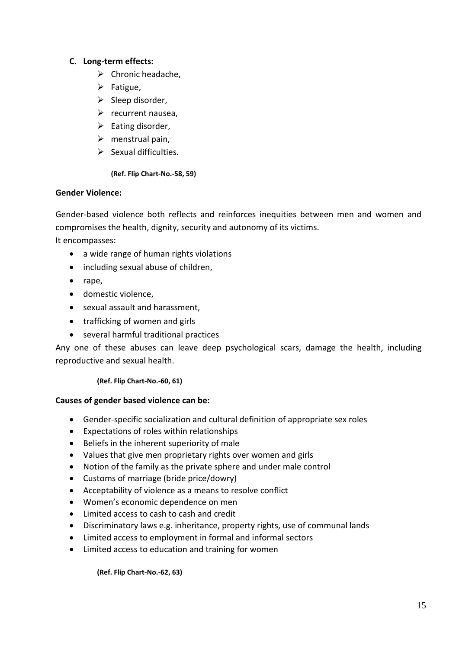### **C. Long-term effects:**

- $\triangleright$  Chronic headache,
- $\triangleright$  Fatigue,
- $\triangleright$  Sleep disorder,
- $\triangleright$  recurrent nausea,
- $\triangleright$  Eating disorder,
- $\triangleright$  menstrual pain,
- $\triangleright$  Sexual difficulties.

#### **(Ref. Flip Chart-No.-58, 59)**

#### **Gender Violence:**

Gender-based violence both reflects and reinforces inequities between men and women and compromises the health, dignity, security and autonomy of its victims.

It encompasses:

- a wide range of human rights violations
- including sexual abuse of children,
- rape,
- domestic violence,
- sexual assault and harassment,
- trafficking of women and girls
- several harmful traditional practices

Any one of these abuses can leave deep psychological scars, damage the health, including reproductive and sexual health.

**(Ref. Flip Chart-No.-60, 61)**

#### **Causes of gender based violence can be:**

- Gender-specific socialization and cultural definition of appropriate sex roles
- Expectations of roles within relationships
- Beliefs in the inherent superiority of male
- Values that give men proprietary rights over women and girls
- Notion of the family as the private sphere and under male control
- Customs of marriage (bride price/dowry)
- Acceptability of violence as a means to resolve conflict
- Women's economic dependence on men
- Limited access to cash to cash and credit
- Discriminatory laws e.g. inheritance, property rights, use of communal lands
- Limited access to employment in formal and informal sectors
- Limited access to education and training for women

**(Ref. Flip Chart-No.-62, 63)**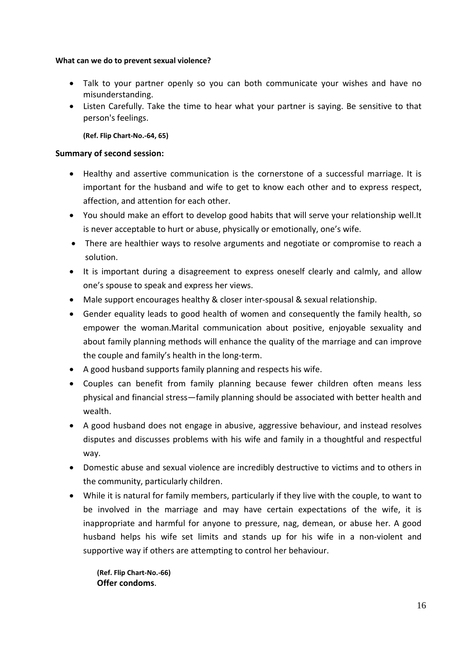#### **What can we do to prevent sexual violence?**

- Talk to your partner openly so you can both communicate your wishes and have no misunderstanding.
- Listen Carefully. Take the time to hear what your partner is saying. Be sensitive to that person's feelings.

**(Ref. Flip Chart-No.-64, 65)**

#### **Summary of second session:**

- Healthy and assertive communication is the cornerstone of a successful marriage. It is important for the husband and wife to get to know each other and to express respect, affection, and attention for each other.
- You should make an effort to develop good habits that will serve your relationship well.It is never acceptable to hurt or abuse, physically or emotionally, one's wife.
- There are healthier ways to resolve arguments and negotiate or compromise to reach a solution.
- It is important during a disagreement to express oneself clearly and calmly, and allow one's spouse to speak and express her views.
- Male support encourages healthy & closer inter-spousal & sexual relationship.
- Gender equality leads to good health of women and consequently the family health, so empower the woman.Marital communication about positive, enjoyable sexuality and about family planning methods will enhance the quality of the marriage and can improve the couple and family's health in the long-term.
- A good husband supports family planning and respects his wife.
- Couples can benefit from family planning because fewer children often means less physical and financial stress—family planning should be associated with better health and wealth.
- A good husband does not engage in abusive, aggressive behaviour, and instead resolves disputes and discusses problems with his wife and family in a thoughtful and respectful way.
- Domestic abuse and sexual violence are incredibly destructive to victims and to others in the community, particularly children.
- While it is natural for family members, particularly if they live with the couple, to want to be involved in the marriage and may have certain expectations of the wife, it is inappropriate and harmful for anyone to pressure, nag, demean, or abuse her. A good husband helps his wife set limits and stands up for his wife in a non-violent and supportive way if others are attempting to control her behaviour.

**(Ref. Flip Chart-No.-66) Offer condoms**.